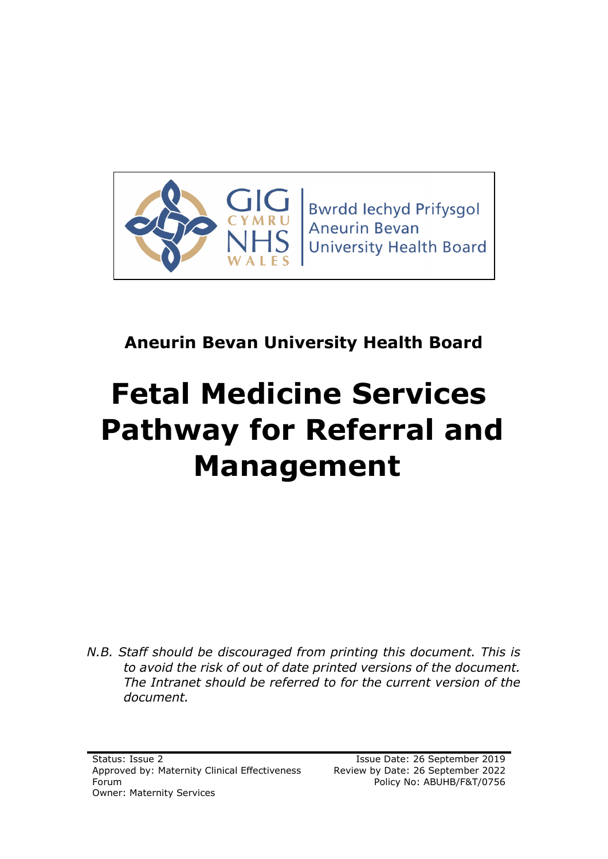

**Bwrdd lechyd Prifysgol Aneurin Bevan University Health Board** 

# **Aneurin Bevan University Health Board**

# **Fetal Medicine Services Pathway for Referral and Management**

*N.B. Staff should be discouraged from printing this document. This is to avoid the risk of out of date printed versions of the document. The Intranet should be referred to for the current version of the document.*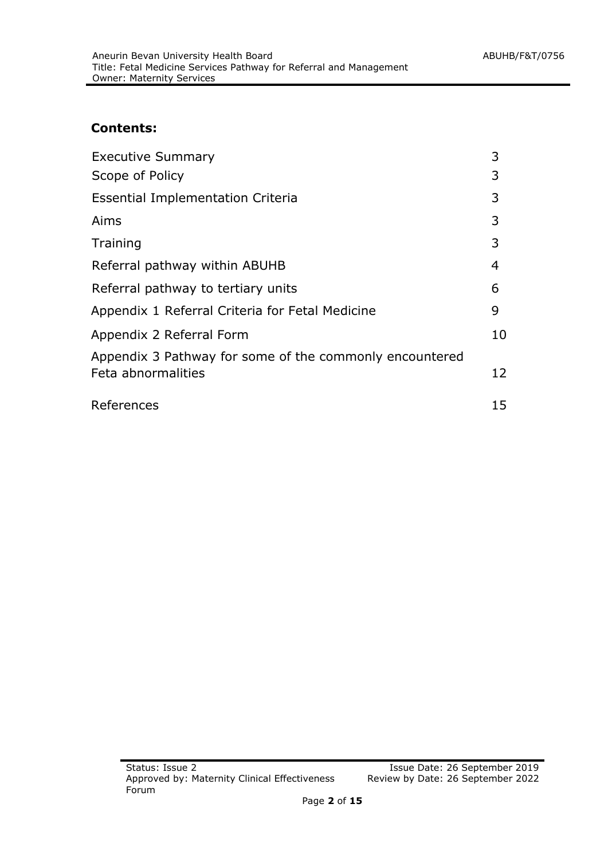#### **Contents:**

| <b>Executive Summary</b>                                | 3  |
|---------------------------------------------------------|----|
| Scope of Policy                                         | 3  |
| <b>Essential Implementation Criteria</b>                | 3  |
| Aims                                                    | 3  |
| Training                                                | 3  |
| Referral pathway within ABUHB                           | 4  |
| Referral pathway to tertiary units                      | 6  |
| Appendix 1 Referral Criteria for Fetal Medicine         | 9  |
| Appendix 2 Referral Form                                | 10 |
| Appendix 3 Pathway for some of the commonly encountered |    |
| Feta abnormalities                                      | 12 |
| References                                              | 15 |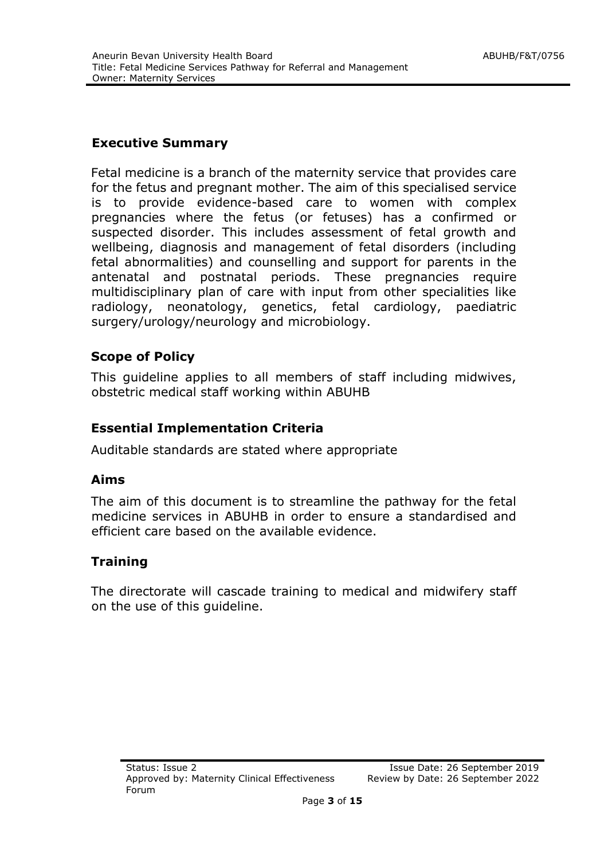#### **Executive Summary**

Fetal medicine is a branch of the maternity service that provides care for the fetus and pregnant mother. The aim of this specialised service is to provide evidence-based care to women with complex pregnancies where the fetus (or fetuses) has a confirmed or suspected disorder. This includes assessment of fetal growth and wellbeing, diagnosis and management of fetal disorders (including fetal abnormalities) and counselling and support for parents in the antenatal and postnatal periods. These pregnancies require multidisciplinary plan of care with input from other specialities like radiology, neonatology, genetics, fetal cardiology, paediatric surgery/urology/neurology and microbiology.

#### **Scope of Policy**

This guideline applies to all members of staff including midwives, obstetric medical staff working within ABUHB

#### **Essential Implementation Criteria**

Auditable standards are stated where appropriate

#### **Aims**

The aim of this document is to streamline the pathway for the fetal medicine services in ABUHB in order to ensure a standardised and efficient care based on the available evidence.

#### **Training**

The directorate will cascade training to medical and midwifery staff on the use of this guideline.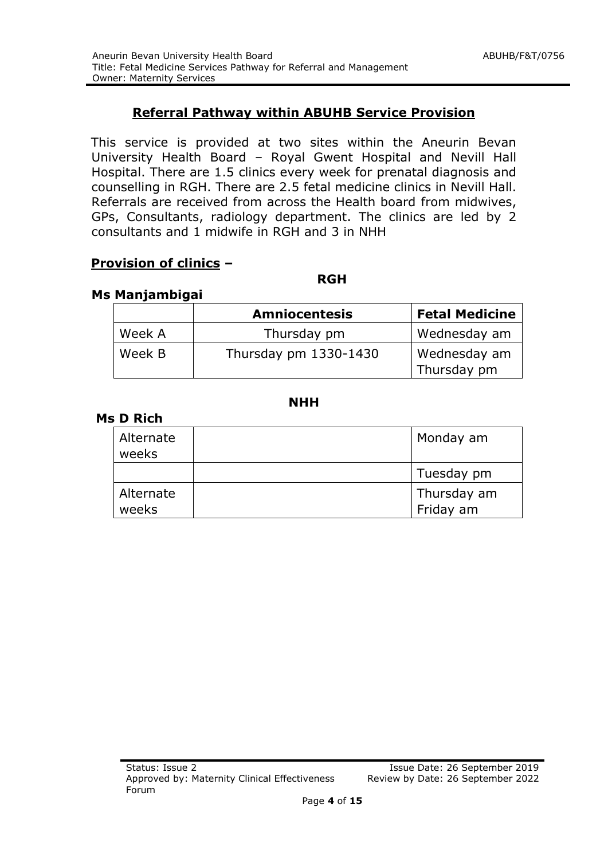#### **Referral Pathway within ABUHB Service Provision**

This service is provided at two sites within the Aneurin Bevan University Health Board – Royal Gwent Hospital and Nevill Hall Hospital. There are 1.5 clinics every week for prenatal diagnosis and counselling in RGH. There are 2.5 fetal medicine clinics in Nevill Hall. Referrals are received from across the Health board from midwives, GPs, Consultants, radiology department. The clinics are led by 2 consultants and 1 midwife in RGH and 3 in NHH

#### **Provision of clinics –**

#### *RGH* RGH **RGH**

#### **Ms Manjambigai**

|        | <b>Amniocentesis</b>  | <b>Fetal Medicine</b>       |
|--------|-----------------------|-----------------------------|
| Week A | Thursday pm           | Wednesday am                |
| Week B | Thursday pm 1330-1430 | Wednesday am<br>Thursday pm |

#### **NHH**

#### **Ms D Rich**

| Alternate<br>weeks | Monday am                |
|--------------------|--------------------------|
|                    | Tuesday pm               |
| Alternate<br>weeks | Thursday am<br>Friday am |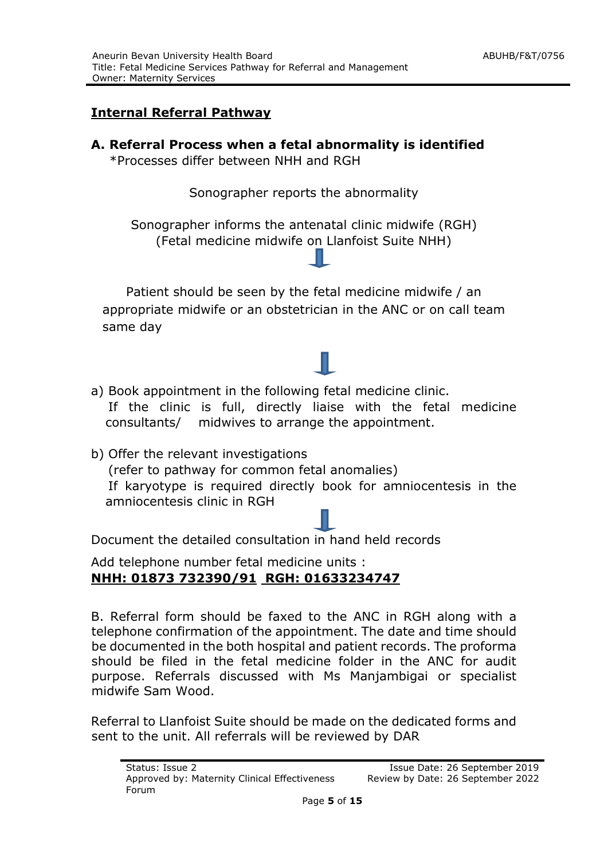#### **Internal Referral Pathway**

**A. Referral Process when a fetal abnormality is identified** 

\*Processes differ between NHH and RGH

Sonographer reports the abnormality

Sonographer informs the antenatal clinic midwife (RGH) (Fetal medicine midwife on Llanfoist Suite NHH)

Patient should be seen by the fetal medicine midwife / an appropriate midwife or an obstetrician in the ANC or on call team same day

- a) Book appointment in the following fetal medicine clinic. If the clinic is full, directly liaise with the fetal medicine consultants/ midwives to arrange the appointment.
- b) Offer the relevant investigations (refer to pathway for common fetal anomalies) If karyotype is required directly book for amniocentesis in the amniocentesis clinic in RGH

Document the detailed consultation in hand held records

Add telephone number fetal medicine units : **NHH: 01873 732390/91 RGH: 01633234747**

B. Referral form should be faxed to the ANC in RGH along with a telephone confirmation of the appointment. The date and time should be documented in the both hospital and patient records. The proforma should be filed in the fetal medicine folder in the ANC for audit purpose. Referrals discussed with Ms Manjambigai or specialist midwife Sam Wood.

Referral to Llanfoist Suite should be made on the dedicated forms and sent to the unit. All referrals will be reviewed by DAR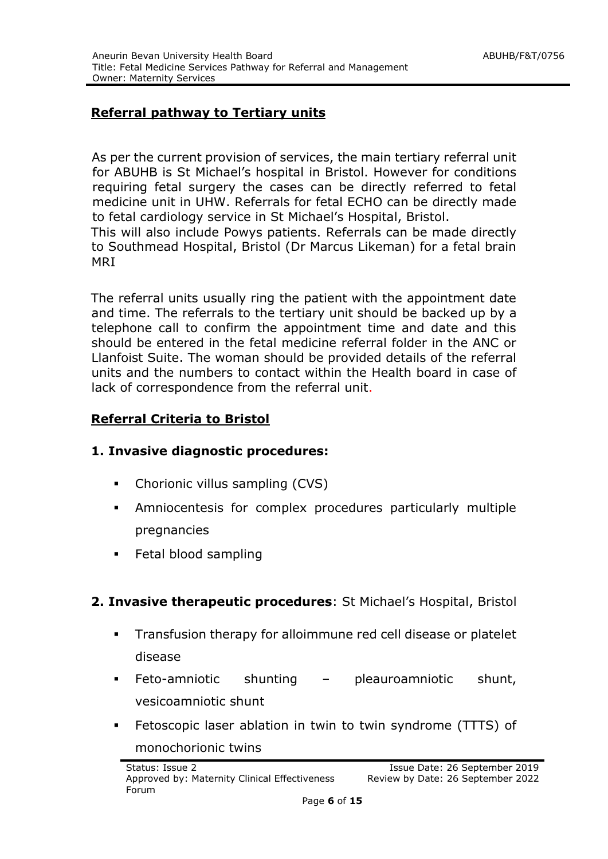#### **Referral pathway to Tertiary units**

As per the current provision of services, the main tertiary referral unit for ABUHB is St Michael's hospital in Bristol. However for conditions requiring fetal surgery the cases can be directly referred to fetal medicine unit in UHW. Referrals for fetal ECHO can be directly made to fetal cardiology service in St Michael's Hospital, Bristol.

This will also include Powys patients. Referrals can be made directly to Southmead Hospital, Bristol (Dr Marcus Likeman) for a fetal brain MRI

The referral units usually ring the patient with the appointment date and time. The referrals to the tertiary unit should be backed up by a telephone call to confirm the appointment time and date and this should be entered in the fetal medicine referral folder in the ANC or Llanfoist Suite. The woman should be provided details of the referral units and the numbers to contact within the Health board in case of lack of correspondence from the referral unit.

#### **Referral Criteria to Bristol**

#### **1. Invasive diagnostic procedures:**

- Chorionic villus sampling (CVS)
- Amniocentesis for complex procedures particularly multiple pregnancies
- **Fetal blood sampling**
- **2. Invasive therapeutic procedures**: St Michael's Hospital, Bristol
	- **Transfusion therapy for alloimmune red cell disease or platelet** disease
	- Feto-amniotic shunting pleauroamniotic shunt, vesicoamniotic shunt
	- **Fetoscopic laser ablation in twin to twin syndrome (TTTS) of** monochorionic twins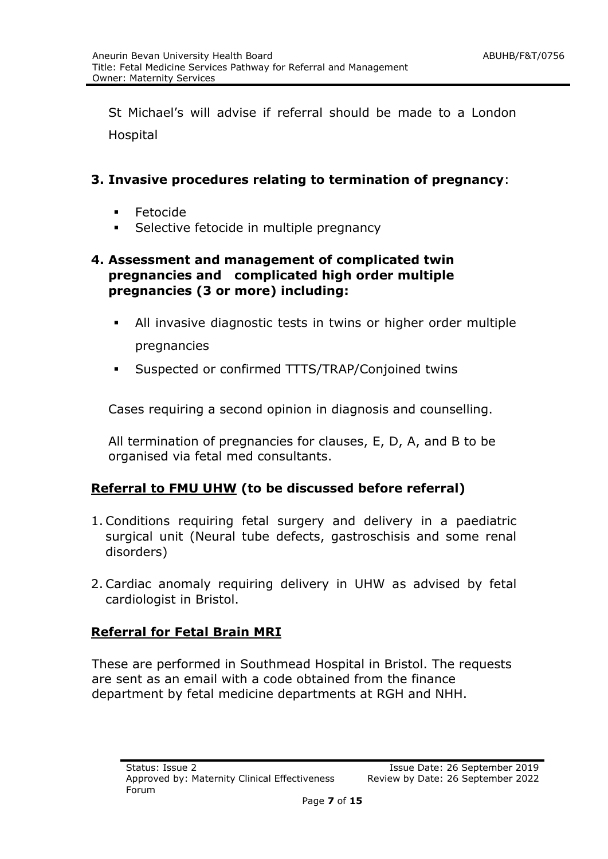St Michael's will advise if referral should be made to a London Hospital

#### **3. Invasive procedures relating to termination of pregnancy**:

- **Fetocide**
- **Selective fetocide in multiple pregnancy**

#### **4. Assessment and management of complicated twin pregnancies and complicated high order multiple pregnancies (3 or more) including:**

- All invasive diagnostic tests in twins or higher order multiple pregnancies
- Suspected or confirmed TTTS/TRAP/Conjoined twins

Cases requiring a second opinion in diagnosis and counselling.

All termination of pregnancies for clauses, E, D, A, and B to be organised via fetal med consultants.

#### **Referral to FMU UHW (to be discussed before referral)**

- 1. Conditions requiring fetal surgery and delivery in a paediatric surgical unit (Neural tube defects, gastroschisis and some renal disorders)
- 2. Cardiac anomaly requiring delivery in UHW as advised by fetal cardiologist in Bristol.

#### **Referral for Fetal Brain MRI**

These are performed in Southmead Hospital in Bristol. The requests are sent as an email with a code obtained from the finance department by fetal medicine departments at RGH and NHH.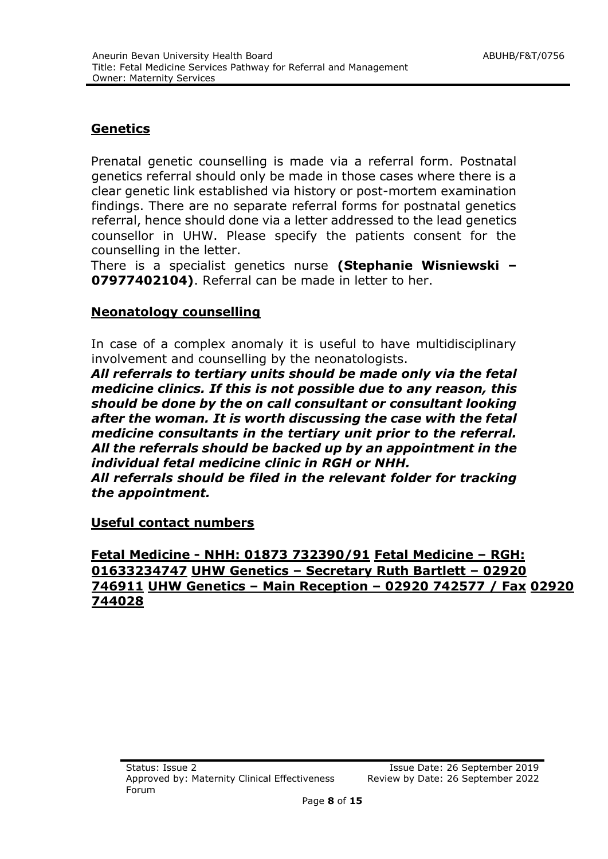#### **Genetics**

Prenatal genetic counselling is made via a referral form. Postnatal genetics referral should only be made in those cases where there is a clear genetic link established via history or post-mortem examination findings. There are no separate referral forms for postnatal genetics referral, hence should done via a letter addressed to the lead genetics counsellor in UHW. Please specify the patients consent for the counselling in the letter.

There is a specialist genetics nurse **(Stephanie Wisniewski – 07977402104)**. Referral can be made in letter to her.

#### **Neonatology counselling**

In case of a complex anomaly it is useful to have multidisciplinary involvement and counselling by the neonatologists.

*All referrals to tertiary units should be made only via the fetal medicine clinics. If this is not possible due to any reason, this should be done by the on call consultant or consultant looking after the woman. It is worth discussing the case with the fetal medicine consultants in the tertiary unit prior to the referral. All the referrals should be backed up by an appointment in the individual fetal medicine clinic in RGH or NHH.* 

*All referrals should be filed in the relevant folder for tracking the appointment.* 

**Useful contact numbers**

#### **Fetal Medicine - NHH: 01873 732390/91 Fetal Medicine – RGH: 01633234747 UHW Genetics – Secretary Ruth Bartlett – 02920 746911 UHW Genetics – Main Reception – 02920 742577 / Fax 02920 744028**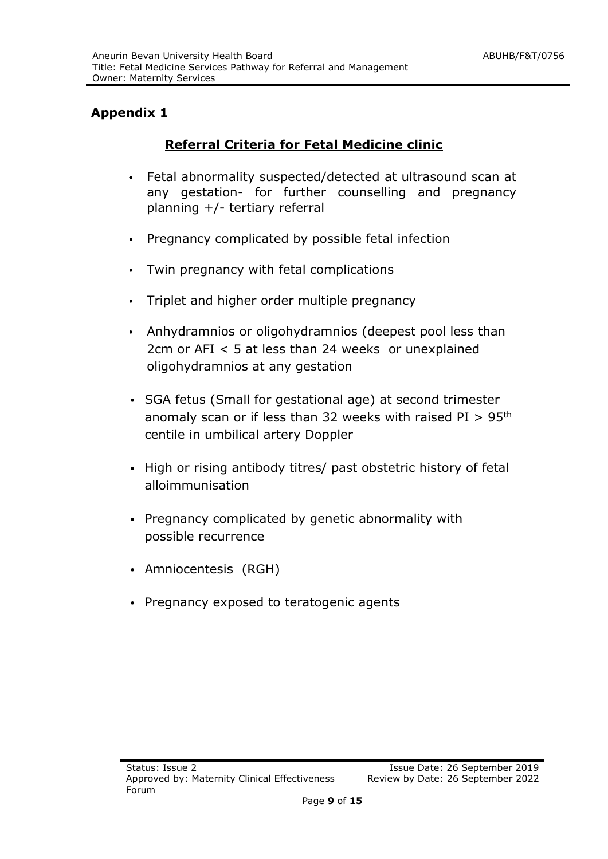#### **Appendix 1**

#### **Referral Criteria for Fetal Medicine clinic**

- Fetal abnormality suspected/detected at ultrasound scan at any gestation- for further counselling and pregnancy planning +/- tertiary referral
- Pregnancy complicated by possible fetal infection
- Twin pregnancy with fetal complications
- Triplet and higher order multiple pregnancy
- Anhydramnios or oligohydramnios (deepest pool less than 2cm or AFI < 5 at less than 24 weeks or unexplained oligohydramnios at any gestation
- SGA fetus (Small for gestational age) at second trimester anomaly scan or if less than 32 weeks with raised  $PI > 95<sup>th</sup>$ centile in umbilical artery Doppler
- High or rising antibody titres/ past obstetric history of fetal alloimmunisation
- Pregnancy complicated by genetic abnormality with possible recurrence
- Amniocentesis (RGH)
- Pregnancy exposed to teratogenic agents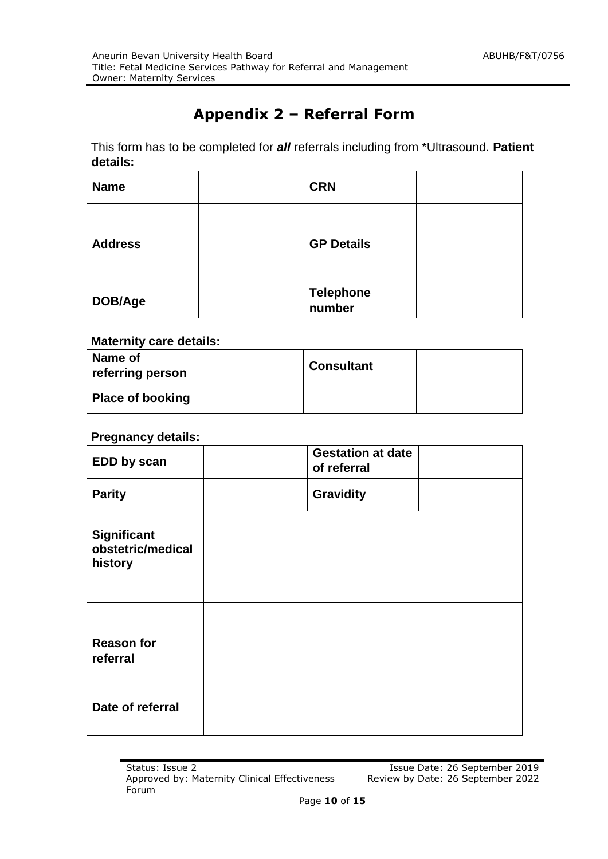# **Appendix 2 – Referral Form**

This form has to be completed for *all* referrals including from \*Ultrasound. **Patient details:**

| <b>Name</b>    | <b>CRN</b>                 |  |
|----------------|----------------------------|--|
| <b>Address</b> | <b>GP Details</b>          |  |
| DOB/Age        | <b>Telephone</b><br>number |  |

#### **Maternity care details:**

| Name of<br>referring person | <b>Consultant</b> |  |
|-----------------------------|-------------------|--|
| Place of booking            |                   |  |

#### **Pregnancy details:**

| EDD by scan                                 | <b>Gestation at date</b><br>of referral |
|---------------------------------------------|-----------------------------------------|
| <b>Parity</b>                               | <b>Gravidity</b>                        |
| Significant<br>obstetric/medical<br>history |                                         |
| <b>Reason for</b><br>referral               |                                         |
| Date of referral                            |                                         |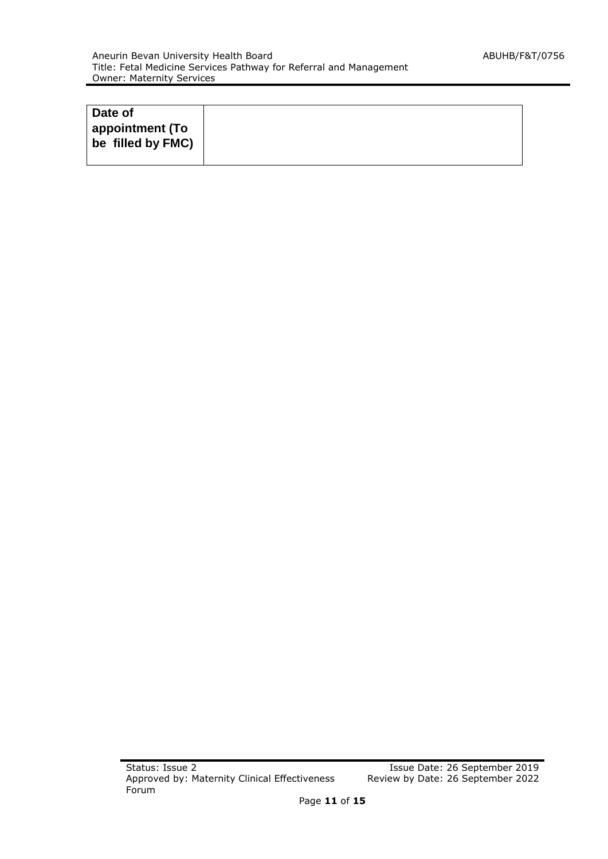| Date of           |  |
|-------------------|--|
| appointment (To   |  |
| be filled by FMC) |  |
|                   |  |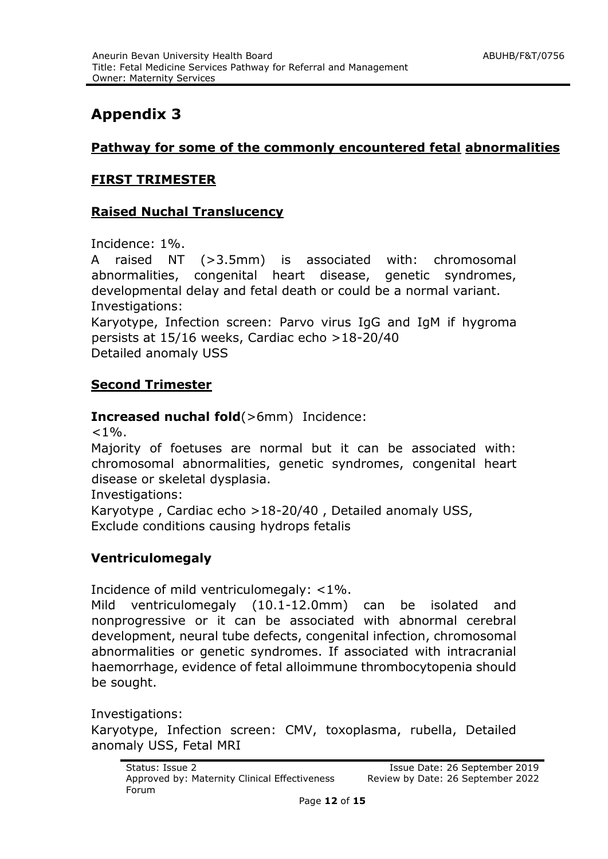# **Appendix 3**

#### **Pathway for some of the commonly encountered fetal abnormalities**

#### **FIRST TRIMESTER**

#### **Raised Nuchal Translucency**

Incidence: 1%.

A raised NT (>3.5mm) is associated with: chromosomal abnormalities, congenital heart disease, genetic syndromes, developmental delay and fetal death or could be a normal variant. Investigations:

Karyotype, Infection screen: Parvo virus IgG and IgM if hygroma persists at 15/16 weeks, Cardiac echo >18-20/40 Detailed anomaly USS

#### **Second Trimester**

#### **Increased nuchal fold**(>6mm) Incidence:

 $< 1\%$ 

Majority of foetuses are normal but it can be associated with: chromosomal abnormalities, genetic syndromes, congenital heart disease or skeletal dysplasia.

Investigations:

Karyotype , Cardiac echo >18-20/40 , Detailed anomaly USS, Exclude conditions causing hydrops fetalis

#### **Ventriculomegaly**

Incidence of mild ventriculomegaly: <1%.

Mild ventriculomegaly (10.1-12.0mm) can be isolated and nonprogressive or it can be associated with abnormal cerebral development, neural tube defects, congenital infection, chromosomal abnormalities or genetic syndromes. If associated with intracranial haemorrhage, evidence of fetal alloimmune thrombocytopenia should be sought.

Investigations: Karyotype, Infection screen: CMV, toxoplasma, rubella, Detailed anomaly USS, Fetal MRI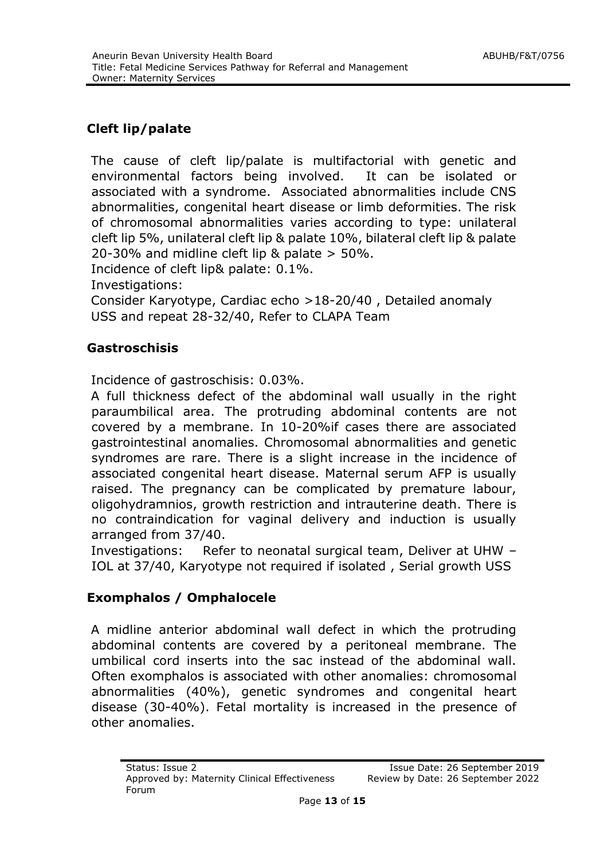### **Cleft lip/palate**

The cause of cleft lip/palate is multifactorial with genetic and environmental factors being involved. It can be isolated or associated with a syndrome. Associated abnormalities include CNS abnormalities, congenital heart disease or limb deformities. The risk of chromosomal abnormalities varies according to type: unilateral cleft lip 5%, unilateral cleft lip & palate 10%, bilateral cleft lip & palate 20-30% and midline cleft lip & palate > 50%.

Incidence of cleft lip& palate: 0.1%.

Investigations:

Consider Karyotype, Cardiac echo >18-20/40 , Detailed anomaly USS and repeat 28-32/40, Refer to CLAPA Team

#### **Gastroschisis**

Incidence of gastroschisis: 0.03%.

A full thickness defect of the abdominal wall usually in the right paraumbilical area. The protruding abdominal contents are not covered by a membrane. In 10-20%if cases there are associated gastrointestinal anomalies. Chromosomal abnormalities and genetic syndromes are rare. There is a slight increase in the incidence of associated congenital heart disease. Maternal serum AFP is usually raised. The pregnancy can be complicated by premature labour, oligohydramnios, growth restriction and intrauterine death. There is no contraindication for vaginal delivery and induction is usually arranged from 37/40.

Investigations: Refer to neonatal surgical team, Deliver at UHW – IOL at 37/40, Karyotype not required if isolated , Serial growth USS

#### **Exomphalos / Omphalocele**

A midline anterior abdominal wall defect in which the protruding abdominal contents are covered by a peritoneal membrane. The umbilical cord inserts into the sac instead of the abdominal wall. Often exomphalos is associated with other anomalies: chromosomal abnormalities (40%), genetic syndromes and congenital heart disease (30-40%). Fetal mortality is increased in the presence of other anomalies.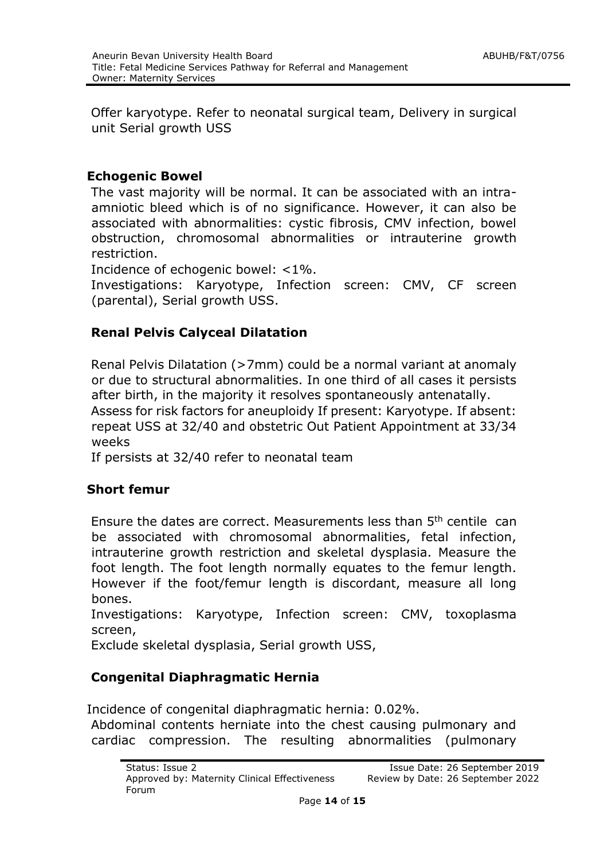Offer karyotype. Refer to neonatal surgical team, Delivery in surgical unit Serial growth USS

#### **Echogenic Bowel**

The vast majority will be normal. It can be associated with an intraamniotic bleed which is of no significance. However, it can also be associated with abnormalities: cystic fibrosis, CMV infection, bowel obstruction, chromosomal abnormalities or intrauterine growth restriction.

Incidence of echogenic bowel: <1%.

Investigations: Karyotype, Infection screen: CMV, CF screen (parental), Serial growth USS.

#### **Renal Pelvis Calyceal Dilatation**

Renal Pelvis Dilatation (>7mm) could be a normal variant at anomaly or due to structural abnormalities. In one third of all cases it persists after birth, in the majority it resolves spontaneously antenatally.

Assess for risk factors for aneuploidy If present: Karyotype. If absent: repeat USS at 32/40 and obstetric Out Patient Appointment at 33/34 weeks

If persists at 32/40 refer to neonatal team

#### **Short femur**

Ensure the dates are correct. Measurements less than 5th centile can be associated with chromosomal abnormalities, fetal infection, intrauterine growth restriction and skeletal dysplasia. Measure the foot length. The foot length normally equates to the femur length. However if the foot/femur length is discordant, measure all long bones.

Investigations: Karyotype, Infection screen: CMV, toxoplasma screen,

Exclude skeletal dysplasia, Serial growth USS,

#### **Congenital Diaphragmatic Hernia**

Incidence of congenital diaphragmatic hernia: 0.02%.

Abdominal contents herniate into the chest causing pulmonary and cardiac compression. The resulting abnormalities (pulmonary